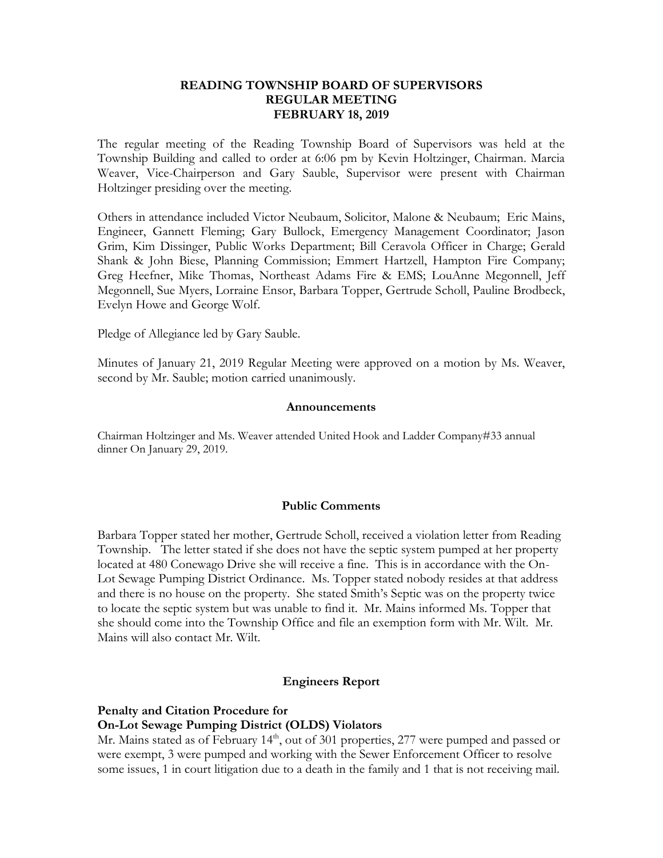#### **READING TOWNSHIP BOARD OF SUPERVISORS REGULAR MEETING FEBRUARY 18, 2019**

The regular meeting of the Reading Township Board of Supervisors was held at the Township Building and called to order at 6:06 pm by Kevin Holtzinger, Chairman. Marcia Weaver, Vice-Chairperson and Gary Sauble, Supervisor were present with Chairman Holtzinger presiding over the meeting.

Others in attendance included Victor Neubaum, Solicitor, Malone & Neubaum; Eric Mains, Engineer, Gannett Fleming; Gary Bullock, Emergency Management Coordinator; Jason Grim, Kim Dissinger, Public Works Department; Bill Ceravola Officer in Charge; Gerald Shank & John Biese, Planning Commission; Emmert Hartzell, Hampton Fire Company; Greg Heefner, Mike Thomas, Northeast Adams Fire & EMS; LouAnne Megonnell, Jeff Megonnell, Sue Myers, Lorraine Ensor, Barbara Topper, Gertrude Scholl, Pauline Brodbeck, Evelyn Howe and George Wolf.

Pledge of Allegiance led by Gary Sauble.

Minutes of January 21, 2019 Regular Meeting were approved on a motion by Ms. Weaver, second by Mr. Sauble; motion carried unanimously.

#### **Announcements**

Chairman Holtzinger and Ms. Weaver attended United Hook and Ladder Company#33 annual dinner On January 29, 2019.

#### **Public Comments**

Barbara Topper stated her mother, Gertrude Scholl, received a violation letter from Reading Township. The letter stated if she does not have the septic system pumped at her property located at 480 Conewago Drive she will receive a fine. This is in accordance with the On-Lot Sewage Pumping District Ordinance. Ms. Topper stated nobody resides at that address and there is no house on the property. She stated Smith's Septic was on the property twice to locate the septic system but was unable to find it. Mr. Mains informed Ms. Topper that she should come into the Township Office and file an exemption form with Mr. Wilt. Mr. Mains will also contact Mr. Wilt.

#### **Engineers Report**

### **Penalty and Citation Procedure for On-Lot Sewage Pumping District (OLDS) Violators**

Mr. Mains stated as of February 14<sup>th</sup>, out of 301 properties, 277 were pumped and passed or were exempt, 3 were pumped and working with the Sewer Enforcement Officer to resolve some issues, 1 in court litigation due to a death in the family and 1 that is not receiving mail.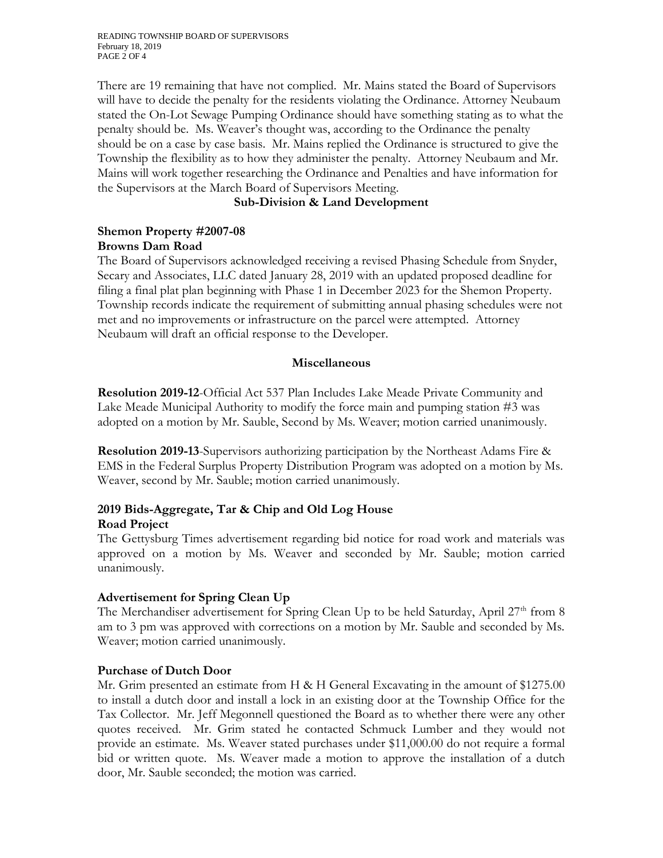READING TOWNSHIP BOARD OF SUPERVISORS February 18, 2019 PAGE 2 OF 4

There are 19 remaining that have not complied. Mr. Mains stated the Board of Supervisors will have to decide the penalty for the residents violating the Ordinance. Attorney Neubaum stated the On-Lot Sewage Pumping Ordinance should have something stating as to what the penalty should be. Ms. Weaver's thought was, according to the Ordinance the penalty should be on a case by case basis. Mr. Mains replied the Ordinance is structured to give the Township the flexibility as to how they administer the penalty. Attorney Neubaum and Mr. Mains will work together researching the Ordinance and Penalties and have information for the Supervisors at the March Board of Supervisors Meeting.

## **Sub-Division & Land Development**

# **Shemon Property #2007-08 Browns Dam Road**

The Board of Supervisors acknowledged receiving a revised Phasing Schedule from Snyder, Secary and Associates, LLC dated January 28, 2019 with an updated proposed deadline for filing a final plat plan beginning with Phase 1 in December 2023 for the Shemon Property. Township records indicate the requirement of submitting annual phasing schedules were not met and no improvements or infrastructure on the parcel were attempted. Attorney Neubaum will draft an official response to the Developer.

## **Miscellaneous**

**Resolution 2019-12**-Official Act 537 Plan Includes Lake Meade Private Community and Lake Meade Municipal Authority to modify the force main and pumping station #3 was adopted on a motion by Mr. Sauble, Second by Ms. Weaver; motion carried unanimously.

**Resolution 2019-13**-Supervisors authorizing participation by the Northeast Adams Fire & EMS in the Federal Surplus Property Distribution Program was adopted on a motion by Ms. Weaver, second by Mr. Sauble; motion carried unanimously.

## **2019 Bids-Aggregate, Tar & Chip and Old Log House Road Project**

The Gettysburg Times advertisement regarding bid notice for road work and materials was approved on a motion by Ms. Weaver and seconded by Mr. Sauble; motion carried unanimously.

### **Advertisement for Spring Clean Up**

The Merchandiser advertisement for Spring Clean Up to be held Saturday, April  $27<sup>th</sup>$  from 8 am to 3 pm was approved with corrections on a motion by Mr. Sauble and seconded by Ms. Weaver; motion carried unanimously.

### **Purchase of Dutch Door**

Mr. Grim presented an estimate from H & H General Excavating in the amount of \$1275.00 to install a dutch door and install a lock in an existing door at the Township Office for the Tax Collector. Mr. Jeff Megonnell questioned the Board as to whether there were any other quotes received. Mr. Grim stated he contacted Schmuck Lumber and they would not provide an estimate. Ms. Weaver stated purchases under \$11,000.00 do not require a formal bid or written quote. Ms. Weaver made a motion to approve the installation of a dutch door, Mr. Sauble seconded; the motion was carried.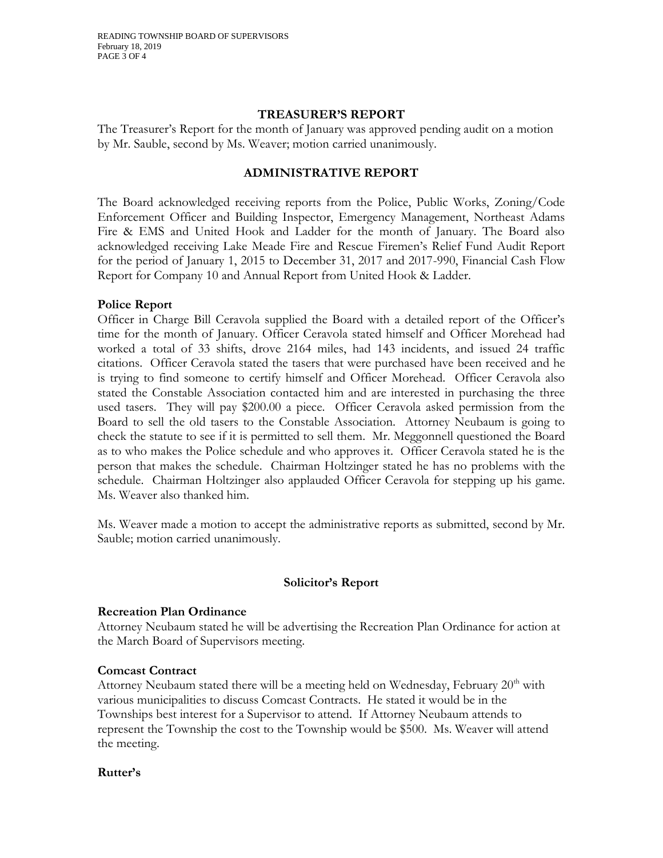#### **TREASURER'S REPORT**

The Treasurer's Report for the month of January was approved pending audit on a motion by Mr. Sauble, second by Ms. Weaver; motion carried unanimously.

## **ADMINISTRATIVE REPORT**

The Board acknowledged receiving reports from the Police, Public Works, Zoning/Code Enforcement Officer and Building Inspector, Emergency Management, Northeast Adams Fire & EMS and United Hook and Ladder for the month of January. The Board also acknowledged receiving Lake Meade Fire and Rescue Firemen's Relief Fund Audit Report for the period of January 1, 2015 to December 31, 2017 and 2017-990, Financial Cash Flow Report for Company 10 and Annual Report from United Hook & Ladder.

### **Police Report**

Officer in Charge Bill Ceravola supplied the Board with a detailed report of the Officer's time for the month of January. Officer Ceravola stated himself and Officer Morehead had worked a total of 33 shifts, drove 2164 miles, had 143 incidents, and issued 24 traffic citations. Officer Ceravola stated the tasers that were purchased have been received and he is trying to find someone to certify himself and Officer Morehead. Officer Ceravola also stated the Constable Association contacted him and are interested in purchasing the three used tasers. They will pay \$200.00 a piece. Officer Ceravola asked permission from the Board to sell the old tasers to the Constable Association. Attorney Neubaum is going to check the statute to see if it is permitted to sell them. Mr. Meggonnell questioned the Board as to who makes the Police schedule and who approves it. Officer Ceravola stated he is the person that makes the schedule. Chairman Holtzinger stated he has no problems with the schedule. Chairman Holtzinger also applauded Officer Ceravola for stepping up his game. Ms. Weaver also thanked him.

Ms. Weaver made a motion to accept the administrative reports as submitted, second by Mr. Sauble; motion carried unanimously.

### **Solicitor's Report**

### **Recreation Plan Ordinance**

Attorney Neubaum stated he will be advertising the Recreation Plan Ordinance for action at the March Board of Supervisors meeting.

### **Comcast Contract**

Attorney Neubaum stated there will be a meeting held on Wednesday, February  $20<sup>th</sup>$  with various municipalities to discuss Comcast Contracts. He stated it would be in the Townships best interest for a Supervisor to attend. If Attorney Neubaum attends to represent the Township the cost to the Township would be \$500. Ms. Weaver will attend the meeting.

#### **Rutter's**